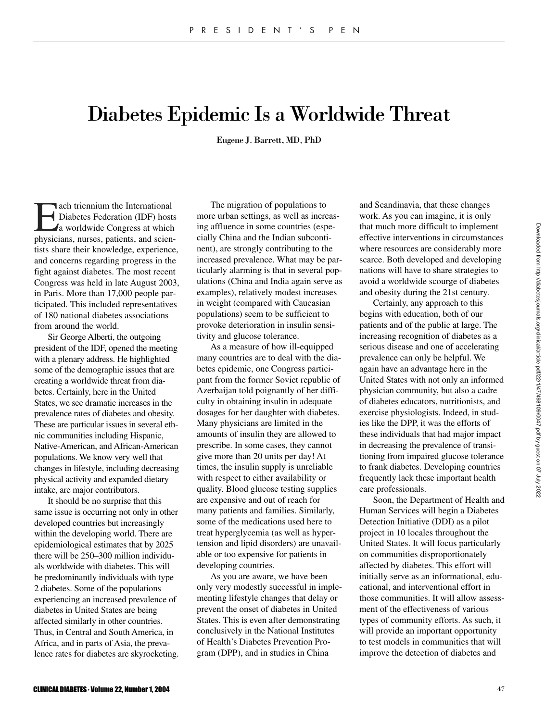## Diabetes Epidemic Is a Worldwide Threat

Eugene J. Barrett, MD, PhD

Each triennium the International<br>
Diabetes Federation (IDF) host<br>
a worldwide Congress at which<br>
physicians nurses patients and science Diabetes Federation (IDF) hosts a worldwide Congress at which physicians, nurses, patients, and scientists share their knowledge, experience, and concerns regarding progress in the fight against diabetes. The most recent Congress was held in late August 2003, in Paris. More than 17,000 people participated. This included representatives of 180 national diabetes associations from around the world.

Sir George Alberti, the outgoing president of the IDF, opened the meeting with a plenary address. He highlighted some of the demographic issues that are creating a worldwide threat from diabetes. Certainly, here in the United States, we see dramatic increases in the prevalence rates of diabetes and obesity. These are particular issues in several ethnic communities including Hispanic, Native-American, and African-American populations. We know very well that changes in lifestyle, including decreasing physical activity and expanded dietary intake, are major contributors.

It should be no surprise that this same issue is occurring not only in other developed countries but increasingly within the developing world. There are epidemiological estimates that by 2025 there will be 250–300 million individuals worldwide with diabetes. This will be predominantly individuals with type 2 diabetes. Some of the populations experiencing an increased prevalence of diabetes in United States are being affected similarly in other countries. Thus, in Central and South America, in Africa, and in parts of Asia, the prevalence rates for diabetes are skyrocketing.

The migration of populations to more urban settings, as well as increasing affluence in some countries (especially China and the Indian subcontinent), are strongly contributing to the increased prevalence. What may be particularly alarming is that in several populations (China and India again serve as examples), relatively modest increases in weight (compared with Caucasian populations) seem to be sufficient to provoke deterioration in insulin sensitivity and glucose tolerance.

As a measure of how ill-equipped many countries are to deal with the diabetes epidemic, one Congress participant from the former Soviet republic of Azerbaijan told poignantly of her difficulty in obtaining insulin in adequate dosages for her daughter with diabetes. Many physicians are limited in the amounts of insulin they are allowed to prescribe. In some cases, they cannot give more than 20 units per day! At times, the insulin supply is unreliable with respect to either availability or quality. Blood glucose testing supplies are expensive and out of reach for many patients and families. Similarly, some of the medications used here to treat hyperglycemia (as well as hypertension and lipid disorders) are unavailable or too expensive for patients in developing countries.

As you are aware, we have been only very modestly successful in implementing lifestyle changes that delay or prevent the onset of diabetes in United States. This is even after demonstrating conclusively in the National Institutes of Health's Diabetes Prevention Program (DPP), and in studies in China

and Scandinavia, that these changes work. As you can imagine, it is only that much more difficult to implement effective interventions in circumstances where resources are considerably more scarce. Both developed and developing nations will have to share strategies to avoid a worldwide scourge of diabetes and obesity during the 21st century.

Certainly, any approach to this begins with education, both of our patients and of the public at large. The increasing recognition of diabetes as a serious disease and one of accelerating prevalence can only be helpful. We again have an advantage here in the United States with not only an informed physician community, but also a cadre of diabetes educators, nutritionists, and exercise physiologists. Indeed, in studies like the DPP, it was the efforts of these individuals that had major impact in decreasing the prevalence of transitioning from impaired glucose tolerance to frank diabetes. Developing countries frequently lack these important health care professionals.

Soon, the Department of Health and Human Services will begin a Diabetes Detection Initiative (DDI) as a pilot project in 10 locales throughout the United States. It will focus particularly on communities disproportionately affected by diabetes. This effort will initially serve as an informational, educational, and interventional effort in those communities. It will allow assessment of the effectiveness of various types of community efforts. As such, it will provide an important opportunity to test models in communities that will improve the detection of diabetes and

Downloaded from http://diabetesjournals.org/clinical/article-pdf/22/1/47/498109/0047.pdf by guest on 07 July 2022 Downloaded from http://diabetesjournals.org/clinical/article-pdf/22/1/47/498109/0047.pdf by guest on 07 July 2022